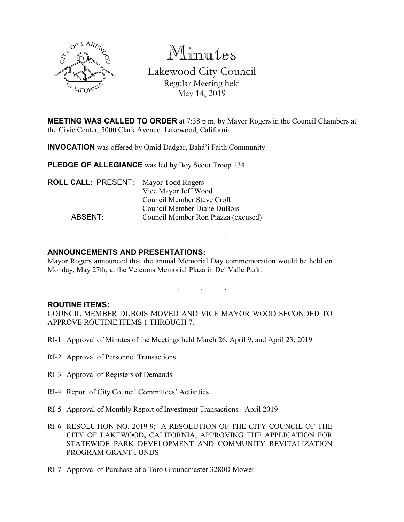

Minutes Lakewood City Council Regular Meeting held May 14, 2019

**MEETING WAS CALLED TO ORDER** at 7:38 p.m. by Mayor Rogers in the Council Chambers at the Civic Center, 5000 Clark Avenue, Lakewood, California.

**INVOCATION** was offered by Omid Dadgar, Bahá'i Faith Community

**PLEDGE OF ALLEGIANCE** was led by Boy Scout Troop 134

| <b>ROLL CALL: PRESENT:</b> Mayor Todd Rogers |                                     |
|----------------------------------------------|-------------------------------------|
|                                              | Vice Mayor Jeff Wood                |
|                                              | Council Member Steve Croft          |
|                                              | Council Member Diane DuBois         |
| ABSENT:                                      | Council Member Ron Piazza (excused) |
|                                              |                                     |

## **ANNOUNCEMENTS AND PRESENTATIONS:**

Mayor Rogers announced that the annual Memorial Day commemoration would be held on Monday, May 27th, at the Veterans Memorial Plaza in Del Valle Park.

. . .

. . .

### **ROUTINE ITEMS:**

COUNCIL MEMBER DUBOIS MOVED AND VICE MAYOR WOOD SECONDED TO APPROVE ROUTINE ITEMS 1 THROUGH 7.

- RI-1 Approval of Minutes of the Meetings held March 26, April 9, and April 23, 2019
- RI-2 Approval of Personnel Transactions
- RI-3 Approval of Registers of Demands
- RI-4 Report of City Council Committees' Activities
- RI-5 Approval of Monthly Report of Investment Transactions April 2019
- RI-6 RESOLUTION NO. 2019-9; A RESOLUTION OF THE CITY COUNCIL OF THE CITY OF LAKEWOOD**,** CALIFORNIA, APPROVING THE APPLICATION FOR STATEWIDE PARK DEVELOPMENT AND COMMUNITY REVITALIZATION PROGRAM GRANT FUNDS
- RI-7 Approval of Purchase of a Toro Groundmaster 3280D Mower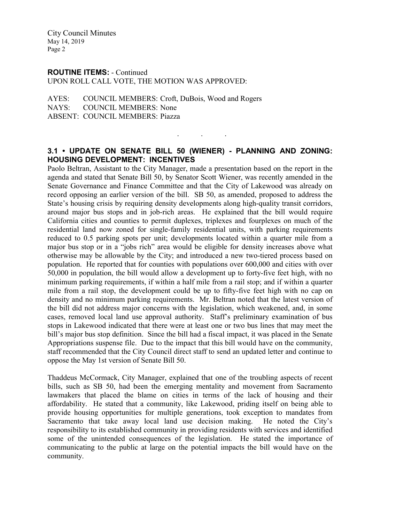City Council Minutes May 14, 2019 Page 2

#### **ROUTINE ITEMS:** - Continued

UPON ROLL CALL VOTE, THE MOTION WAS APPROVED:

AYES: COUNCIL MEMBERS: Croft, DuBois, Wood and Rogers NAYS: COUNCIL MEMBERS: None ABSENT: COUNCIL MEMBERS: Piazza

## **3.1 • UPDATE ON SENATE BILL 50 (WIENER) - PLANNING AND ZONING: HOUSING DEVELOPMENT: INCENTIVES**

. . .

Paolo Beltran, Assistant to the City Manager, made a presentation based on the report in the agenda and stated that Senate Bill 50, by Senator Scott Wiener, was recently amended in the Senate Governance and Finance Committee and that the City of Lakewood was already on record opposing an earlier version of the bill. SB 50, as amended, proposed to address the State's housing crisis by requiring density developments along high-quality transit corridors, around major bus stops and in job-rich areas. He explained that the bill would require California cities and counties to permit duplexes, triplexes and fourplexes on much of the residential land now zoned for single-family residential units, with parking requirements reduced to 0.5 parking spots per unit; developments located within a quarter mile from a major bus stop or in a "jobs rich" area would be eligible for density increases above what otherwise may be allowable by the City; and introduced a new two-tiered process based on population. He reported that for counties with populations over 600,000 and cities with over 50,000 in population, the bill would allow a development up to forty-five feet high, with no minimum parking requirements, if within a half mile from a rail stop; and if within a quarter mile from a rail stop, the development could be up to fifty-five feet high with no cap on density and no minimum parking requirements. Mr. Beltran noted that the latest version of the bill did not address major concerns with the legislation, which weakened, and, in some cases, removed local land use approval authority. Staff's preliminary examination of bus stops in Lakewood indicated that there were at least one or two bus lines that may meet the bill's major bus stop definition. Since the bill had a fiscal impact, it was placed in the Senate Appropriations suspense file. Due to the impact that this bill would have on the community, staff recommended that the City Council direct staff to send an updated letter and continue to oppose the May 1st version of Senate Bill 50.

Thaddeus McCormack, City Manager, explained that one of the troubling aspects of recent bills, such as SB 50, had been the emerging mentality and movement from Sacramento lawmakers that placed the blame on cities in terms of the lack of housing and their affordability. He stated that a community, like Lakewood, priding itself on being able to provide housing opportunities for multiple generations, took exception to mandates from Sacramento that take away local land use decision making. He noted the City's responsibility to its established community in providing residents with services and identified some of the unintended consequences of the legislation. He stated the importance of communicating to the public at large on the potential impacts the bill would have on the community.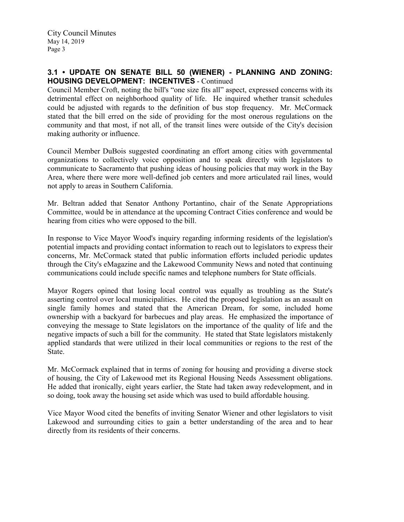# **3.1 • UPDATE ON SENATE BILL 50 (WIENER) - PLANNING AND ZONING: HOUSING DEVELOPMENT: INCENTIVES** - Continued

Council Member Croft, noting the bill's "one size fits all" aspect, expressed concerns with its detrimental effect on neighborhood quality of life. He inquired whether transit schedules could be adjusted with regards to the definition of bus stop frequency. Mr. McCormack stated that the bill erred on the side of providing for the most onerous regulations on the community and that most, if not all, of the transit lines were outside of the City's decision making authority or influence.

Council Member DuBois suggested coordinating an effort among cities with governmental organizations to collectively voice opposition and to speak directly with legislators to communicate to Sacramento that pushing ideas of housing policies that may work in the Bay Area, where there were more well-defined job centers and more articulated rail lines, would not apply to areas in Southern California.

Mr. Beltran added that Senator Anthony Portantino, chair of the Senate Appropriations Committee, would be in attendance at the upcoming Contract Cities conference and would be hearing from cities who were opposed to the bill.

In response to Vice Mayor Wood's inquiry regarding informing residents of the legislation's potential impacts and providing contact information to reach out to legislators to express their concerns, Mr. McCormack stated that public information efforts included periodic updates through the City's eMagazine and the Lakewood Community News and noted that continuing communications could include specific names and telephone numbers for State officials.

Mayor Rogers opined that losing local control was equally as troubling as the State's asserting control over local municipalities. He cited the proposed legislation as an assault on single family homes and stated that the American Dream, for some, included home ownership with a backyard for barbecues and play areas. He emphasized the importance of conveying the message to State legislators on the importance of the quality of life and the negative impacts of such a bill for the community. He stated that State legislators mistakenly applied standards that were utilized in their local communities or regions to the rest of the State.

Mr. McCormack explained that in terms of zoning for housing and providing a diverse stock of housing, the City of Lakewood met its Regional Housing Needs Assessment obligations. He added that ironically, eight years earlier, the State had taken away redevelopment, and in so doing, took away the housing set aside which was used to build affordable housing.

Vice Mayor Wood cited the benefits of inviting Senator Wiener and other legislators to visit Lakewood and surrounding cities to gain a better understanding of the area and to hear directly from its residents of their concerns.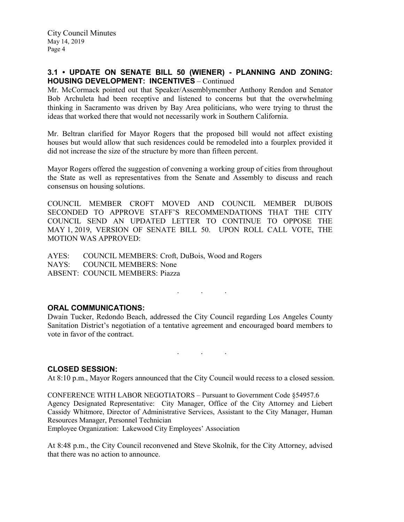## **3.1 • UPDATE ON SENATE BILL 50 (WIENER) - PLANNING AND ZONING: HOUSING DEVELOPMENT: INCENTIVES** – Continued

Mr. McCormack pointed out that Speaker/Assemblymember Anthony Rendon and Senator Bob Archuleta had been receptive and listened to concerns but that the overwhelming thinking in Sacramento was driven by Bay Area politicians, who were trying to thrust the ideas that worked there that would not necessarily work in Southern California.

Mr. Beltran clarified for Mayor Rogers that the proposed bill would not affect existing houses but would allow that such residences could be remodeled into a fourplex provided it did not increase the size of the structure by more than fifteen percent.

Mayor Rogers offered the suggestion of convening a working group of cities from throughout the State as well as representatives from the Senate and Assembly to discuss and reach consensus on housing solutions.

COUNCIL MEMBER CROFT MOVED AND COUNCIL MEMBER DUBOIS SECONDED TO APPROVE STAFF'S RECOMMENDATIONS THAT THE CITY COUNCIL SEND AN UPDATED LETTER TO CONTINUE TO OPPOSE THE MAY 1, 2019, VERSION OF SENATE BILL 50. UPON ROLL CALL VOTE, THE MOTION WAS APPROVED:

AYES: COUNCIL MEMBERS: Croft, DuBois, Wood and Rogers NAYS: COUNCIL MEMBERS: None ABSENT: COUNCIL MEMBERS: Piazza

## **ORAL COMMUNICATIONS:**

Dwain Tucker, Redondo Beach, addressed the City Council regarding Los Angeles County Sanitation District's negotiation of a tentative agreement and encouraged board members to vote in favor of the contract.

. . .

. . .

### **CLOSED SESSION:**

At 8:10 p.m., Mayor Rogers announced that the City Council would recess to a closed session.

CONFERENCE WITH LABOR NEGOTIATORS – Pursuant to Government Code §54957.6 Agency Designated Representative: City Manager, Office of the City Attorney and Liebert Cassidy Whitmore, Director of Administrative Services, Assistant to the City Manager, Human Resources Manager, Personnel Technician

Employee Organization: Lakewood City Employees' Association

At 8:48 p.m., the City Council reconvened and Steve Skolnik, for the City Attorney, advised that there was no action to announce.